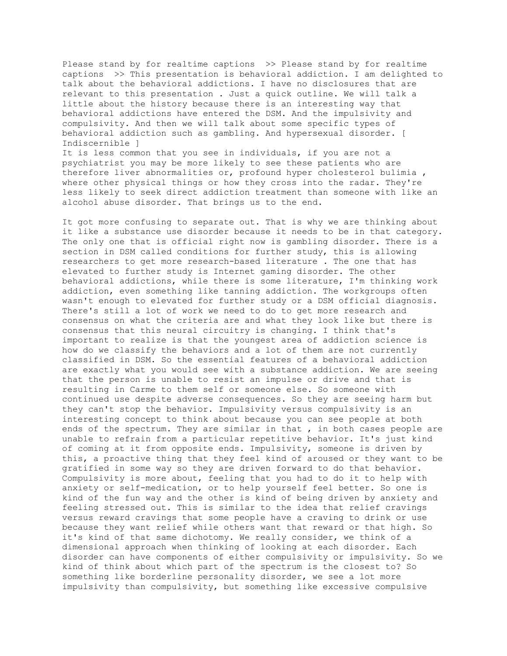Please stand by for realtime captions >> Please stand by for realtime captions >> This presentation is behavioral addiction. I am delighted to talk about the behavioral addictions. I have no disclosures that are relevant to this presentation . Just a quick outline. We will talk a little about the history because there is an interesting way that behavioral addictions have entered the DSM. And the impulsivity and compulsivity. And then we will talk about some specific types of behavioral addiction such as gambling. And hypersexual disorder. [ Indiscernible ]

It is less common that you see in individuals, if you are not a psychiatrist you may be more likely to see these patients who are therefore liver abnormalities or, profound hyper cholesterol bulimia , where other physical things or how they cross into the radar. They're less likely to seek direct addiction treatment than someone with like an alcohol abuse disorder. That brings us to the end.

It got more confusing to separate out. That is why we are thinking about it like a substance use disorder because it needs to be in that category. The only one that is official right now is gambling disorder. There is a section in DSM called conditions for further study, this is allowing researchers to get more research-based literature . The one that has elevated to further study is Internet gaming disorder. The other behavioral addictions, while there is some literature, I'm thinking work addiction, even something like tanning addiction. The workgroups often wasn't enough to elevated for further study or a DSM official diagnosis. There's still a lot of work we need to do to get more research and consensus on what the criteria are and what they look like but there is consensus that this neural circuitry is changing. I think that's important to realize is that the youngest area of addiction science is how do we classify the behaviors and a lot of them are not currently classified in DSM. So the essential features of a behavioral addiction are exactly what you would see with a substance addiction. We are seeing that the person is unable to resist an impulse or drive and that is resulting in Carme to them self or someone else. So someone with continued use despite adverse consequences. So they are seeing harm but they can't stop the behavior. Impulsivity versus compulsivity is an interesting concept to think about because you can see people at both ends of the spectrum. They are similar in that, in both cases people are unable to refrain from a particular repetitive behavior. It's just kind of coming at it from opposite ends. Impulsivity, someone is driven by this, a proactive thing that they feel kind of aroused or they want to be gratified in some way so they are driven forward to do that behavior. Compulsivity is more about, feeling that you had to do it to help with anxiety or self-medication, or to help yourself feel better. So one is kind of the fun way and the other is kind of being driven by anxiety and feeling stressed out. This is similar to the idea that relief cravings versus reward cravings that some people have a craving to drink or use because they want relief while others want that reward or that high. So it's kind of that same dichotomy. We really consider, we think of a dimensional approach when thinking of looking at each disorder. Each disorder can have components of either compulsivity or impulsivity. So we kind of think about which part of the spectrum is the closest to? So something like borderline personality disorder, we see a lot more impulsivity than compulsivity, but something like excessive compulsive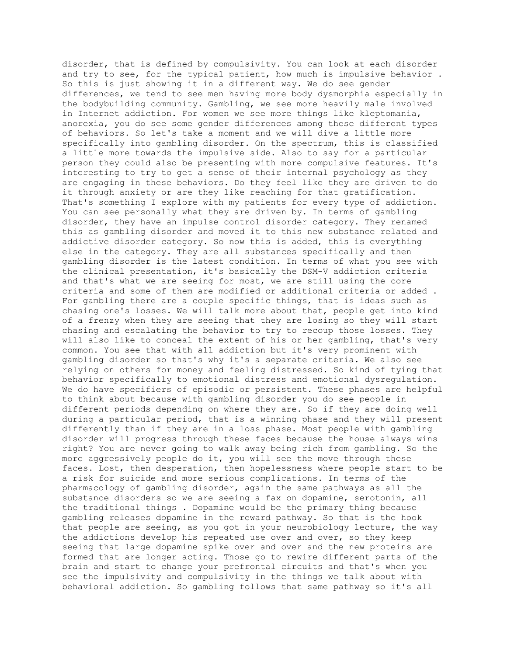disorder, that is defined by compulsivity. You can look at each disorder and try to see, for the typical patient, how much is impulsive behavior . So this is just showing it in a different way. We do see gender differences, we tend to see men having more body dysmorphia especially in the bodybuilding community. Gambling, we see more heavily male involved in Internet addiction. For women we see more things like kleptomania, anorexia, you do see some gender differences among these different types of behaviors. So let's take a moment and we will dive a little more specifically into gambling disorder. On the spectrum, this is classified a little more towards the impulsive side. Also to say for a particular person they could also be presenting with more compulsive features. It's interesting to try to get a sense of their internal psychology as they are engaging in these behaviors. Do they feel like they are driven to do it through anxiety or are they like reaching for that gratification. That's something I explore with my patients for every type of addiction. You can see personally what they are driven by. In terms of gambling disorder, they have an impulse control disorder category. They renamed this as gambling disorder and moved it to this new substance related and addictive disorder category. So now this is added, this is everything else in the category. They are all substances specifically and then gambling disorder is the latest condition. In terms of what you see with the clinical presentation, it's basically the DSM-V addiction criteria and that's what we are seeing for most, we are still using the core criteria and some of them are modified or additional criteria or added . For gambling there are a couple specific things, that is ideas such as chasing one's losses. We will talk more about that, people get into kind of a frenzy when they are seeing that they are losing so they will start chasing and escalating the behavior to try to recoup those losses. They will also like to conceal the extent of his or her gambling, that's very common. You see that with all addiction but it's very prominent with gambling disorder so that's why it's a separate criteria. We also see relying on others for money and feeling distressed. So kind of tying that behavior specifically to emotional distress and emotional dysregulation. We do have specifiers of episodic or persistent. These phases are helpful to think about because with gambling disorder you do see people in different periods depending on where they are. So if they are doing well during a particular period, that is a winning phase and they will present differently than if they are in a loss phase. Most people with gambling disorder will progress through these faces because the house always wins right? You are never going to walk away being rich from gambling. So the more aggressively people do it, you will see the move through these faces. Lost, then desperation, then hopelessness where people start to be a risk for suicide and more serious complications. In terms of the pharmacology of gambling disorder, again the same pathways as all the substance disorders so we are seeing a fax on dopamine, serotonin, all the traditional things . Dopamine would be the primary thing because gambling releases dopamine in the reward pathway. So that is the hook that people are seeing, as you got in your neurobiology lecture, the way the addictions develop his repeated use over and over, so they keep seeing that large dopamine spike over and over and the new proteins are formed that are longer acting. Those go to rewire different parts of the brain and start to change your prefrontal circuits and that's when you see the impulsivity and compulsivity in the things we talk about with behavioral addiction. So gambling follows that same pathway so it's all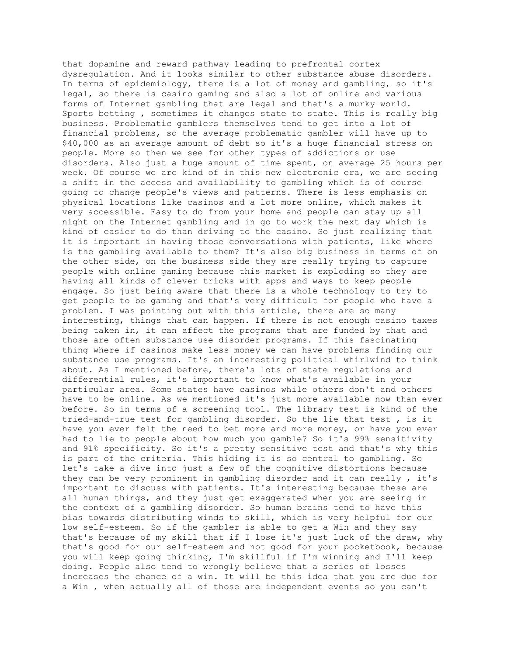that dopamine and reward pathway leading to prefrontal cortex dysregulation. And it looks similar to other substance abuse disorders. In terms of epidemiology, there is a lot of money and gambling, so it's legal, so there is casino gaming and also a lot of online and various forms of Internet gambling that are legal and that's a murky world. Sports betting , sometimes it changes state to state. This is really big business. Problematic gamblers themselves tend to get into a lot of financial problems, so the average problematic gambler will have up to \$40,000 as an average amount of debt so it's a huge financial stress on people. More so then we see for other types of addictions or use disorders. Also just a huge amount of time spent, on average 25 hours per week. Of course we are kind of in this new electronic era, we are seeing a shift in the access and availability to gambling which is of course going to change people's views and patterns. There is less emphasis on physical locations like casinos and a lot more online, which makes it very accessible. Easy to do from your home and people can stay up all night on the Internet gambling and in go to work the next day which is kind of easier to do than driving to the casino. So just realizing that it is important in having those conversations with patients, like where is the gambling available to them? It's also big business in terms of on the other side, on the business side they are really trying to capture people with online gaming because this market is exploding so they are having all kinds of clever tricks with apps and ways to keep people engage. So just being aware that there is a whole technology to try to get people to be gaming and that's very difficult for people who have a problem. I was pointing out with this article, there are so many interesting, things that can happen. If there is not enough casino taxes being taken in, it can affect the programs that are funded by that and those are often substance use disorder programs. If this fascinating thing where if casinos make less money we can have problems finding our substance use programs. It's an interesting political whirlwind to think about. As I mentioned before, there's lots of state regulations and differential rules, it's important to know what's available in your particular area. Some states have casinos while others don't and others have to be online. As we mentioned it's just more available now than ever before. So in terms of a screening tool. The library test is kind of the tried-and-true test for gambling disorder. So the lie that test , is it have you ever felt the need to bet more and more money, or have you ever had to lie to people about how much you gamble? So it's 99% sensitivity and 91% specificity. So it's a pretty sensitive test and that's why this is part of the criteria. This hiding it is so central to gambling. So let's take a dive into just a few of the cognitive distortions because they can be very prominent in gambling disorder and it can really , it's important to discuss with patients. It's interesting because these are all human things, and they just get exaggerated when you are seeing in the context of a gambling disorder. So human brains tend to have this bias towards distributing winds to skill, which is very helpful for our low self-esteem. So if the gambler is able to get a Win and they say that's because of my skill that if I lose it's just luck of the draw, why that's good for our self-esteem and not good for your pocketbook, because you will keep going thinking, I'm skillful if I'm winning and I'll keep doing. People also tend to wrongly believe that a series of losses increases the chance of a win. It will be this idea that you are due for a Win , when actually all of those are independent events so you can't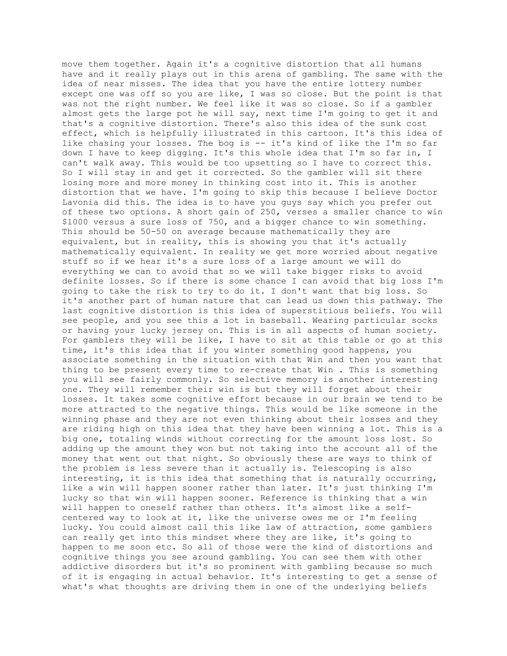move them together. Again it's a cognitive distortion that all humans have and it really plays out in this arena of gambling. The same with the idea of near misses. The idea that you have the entire lottery number except one was off so you are like, I was so close. But the point is that was not the right number. We feel like it was so close. So if a gambler almost gets the large pot he will say, next time I'm going to get it and that's a cognitive distortion. There's also this idea of the sunk cost effect, which is helpfully illustrated in this cartoon. It's this idea of like chasing your losses. The bog is -- it's kind of like the I'm so far down I have to keep digging. It's this whole idea that I'm so far in, I can't walk away. This would be too upsetting so I have to correct this. So I will stay in and get it corrected. So the gambler will sit there losing more and more money in thinking cost into it. This is another distortion that we have. I'm going to skip this because I believe Doctor Lavonia did this. The idea is to have you guys say which you prefer out of these two options. A short gain of 250, verses a smaller chance to win \$1000 versus a sure loss of 750, and a bigger chance to win something. This should be 50-50 on average because mathematically they are equivalent, but in reality, this is showing you that it's actually mathematically equivalent. In reality we get more worried about negative stuff so if we hear it's a sure loss of a large amount we will do everything we can to avoid that so we will take bigger risks to avoid definite losses. So if there is some chance I can avoid that big loss I'm going to take the risk to try to do it. I don't want that big loss. So it's another part of human nature that can lead us down this pathway. The last cognitive distortion is this idea of superstitious beliefs. You will see people, and you see this a lot in baseball. Wearing particular socks or having your lucky jersey on. This is in all aspects of human society. For gamblers they will be like, I have to sit at this table or go at this time, it's this idea that if you winter something good happens, you associate something in the situation with that Win and then you want that thing to be present every time to re-create that Win . This is something you will see fairly commonly. So selective memory is another interesting one. They will remember their win is but they will forget about their losses. It takes some cognitive effort because in our brain we tend to be more attracted to the negative things. This would be like someone in the winning phase and they are not even thinking about their losses and they are riding high on this idea that they have been winning a lot. This is a big one, totaling winds without correcting for the amount loss lost. So adding up the amount they won but not taking into the account all of the money that went out that night. So obviously these are ways to think of the problem is less severe than it actually is. Telescoping is also interesting, it is this idea that something that is naturally occurring, like a win will happen sooner rather than later. It's just thinking I'm lucky so that win will happen sooner. Reference is thinking that a win will happen to oneself rather than others. It's almost like a selfcentered way to look at it, like the universe owes me or I'm feeling lucky. You could almost call this like law of attraction, some gamblers can really get into this mindset where they are like, it's going to happen to me soon etc. So all of those were the kind of distortions and cognitive things you see around gambling. You can see them with other addictive disorders but it's so prominent with gambling because so much of it is engaging in actual behavior. It's interesting to get a sense of what's what thoughts are driving them in one of the underlying beliefs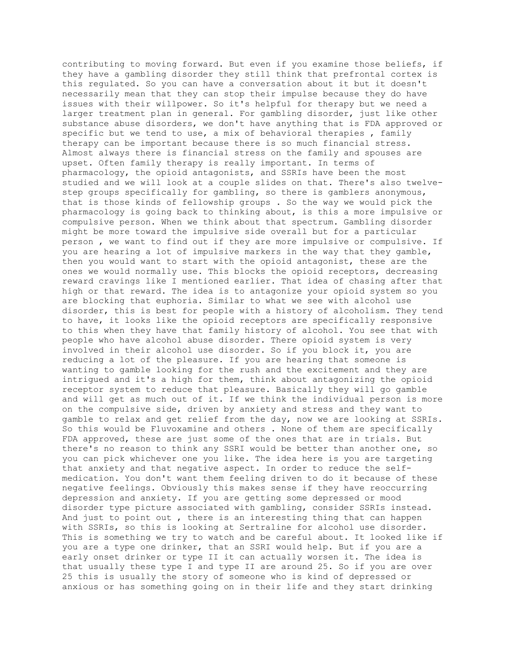contributing to moving forward. But even if you examine those beliefs, if they have a gambling disorder they still think that prefrontal cortex is this regulated. So you can have a conversation about it but it doesn't necessarily mean that they can stop their impulse because they do have issues with their willpower. So it's helpful for therapy but we need a larger treatment plan in general. For gambling disorder, just like other substance abuse disorders, we don't have anything that is FDA approved or specific but we tend to use, a mix of behavioral therapies , family therapy can be important because there is so much financial stress. Almost always there is financial stress on the family and spouses are upset. Often family therapy is really important. In terms of pharmacology, the opioid antagonists, and SSRIs have been the most studied and we will look at a couple slides on that. There's also twelvestep groups specifically for gambling, so there is gamblers anonymous, that is those kinds of fellowship groups . So the way we would pick the pharmacology is going back to thinking about, is this a more impulsive or compulsive person. When we think about that spectrum. Gambling disorder might be more toward the impulsive side overall but for a particular person , we want to find out if they are more impulsive or compulsive. If you are hearing a lot of impulsive markers in the way that they gamble, then you would want to start with the opioid antagonist, these are the ones we would normally use. This blocks the opioid receptors, decreasing reward cravings like I mentioned earlier. That idea of chasing after that high or that reward. The idea is to antagonize your opioid system so you are blocking that euphoria. Similar to what we see with alcohol use disorder, this is best for people with a history of alcoholism. They tend to have, it looks like the opioid receptors are specifically responsive to this when they have that family history of alcohol. You see that with people who have alcohol abuse disorder. There opioid system is very involved in their alcohol use disorder. So if you block it, you are reducing a lot of the pleasure. If you are hearing that someone is wanting to gamble looking for the rush and the excitement and they are intrigued and it's a high for them, think about antagonizing the opioid receptor system to reduce that pleasure. Basically they will go gamble and will get as much out of it. If we think the individual person is more on the compulsive side, driven by anxiety and stress and they want to gamble to relax and get relief from the day, now we are looking at SSRIs. So this would be Fluvoxamine and others . None of them are specifically FDA approved, these are just some of the ones that are in trials. But there's no reason to think any SSRI would be better than another one, so you can pick whichever one you like. The idea here is you are targeting that anxiety and that negative aspect. In order to reduce the selfmedication. You don't want them feeling driven to do it because of these negative feelings. Obviously this makes sense if they have reoccurring depression and anxiety. If you are getting some depressed or mood disorder type picture associated with gambling, consider SSRIs instead. And just to point out , there is an interesting thing that can happen with SSRIs, so this is looking at Sertraline for alcohol use disorder. This is something we try to watch and be careful about. It looked like if you are a type one drinker, that an SSRI would help. But if you are a early onset drinker or type II it can actually worsen it. The idea is that usually these type I and type II are around 25. So if you are over 25 this is usually the story of someone who is kind of depressed or anxious or has something going on in their life and they start drinking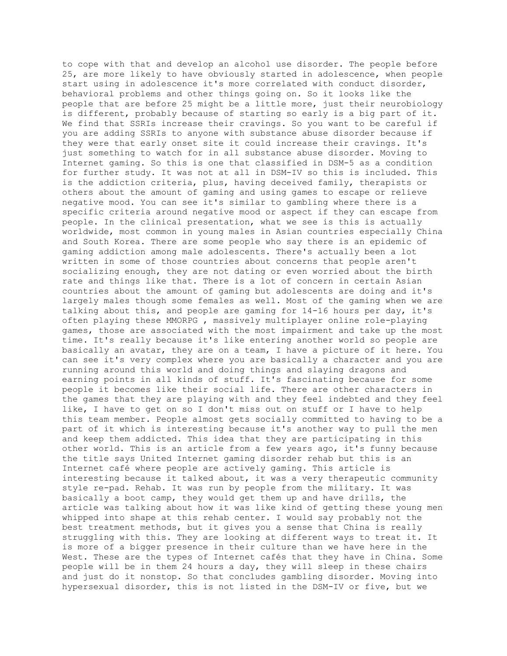to cope with that and develop an alcohol use disorder. The people before 25, are more likely to have obviously started in adolescence, when people start using in adolescence it's more correlated with conduct disorder, behavioral problems and other things going on. So it looks like the people that are before 25 might be a little more, just their neurobiology is different, probably because of starting so early is a big part of it. We find that SSRIs increase their cravings. So you want to be careful if you are adding SSRIs to anyone with substance abuse disorder because if they were that early onset site it could increase their cravings. It's just something to watch for in all substance abuse disorder. Moving to Internet gaming. So this is one that classified in DSM-5 as a condition for further study. It was not at all in DSM-IV so this is included. This is the addiction criteria, plus, having deceived family, therapists or others about the amount of gaming and using games to escape or relieve negative mood. You can see it's similar to gambling where there is a specific criteria around negative mood or aspect if they can escape from people. In the clinical presentation, what we see is this is actually worldwide, most common in young males in Asian countries especially China and South Korea. There are some people who say there is an epidemic of gaming addiction among male adolescents. There's actually been a lot written in some of those countries about concerns that people aren't socializing enough, they are not dating or even worried about the birth rate and things like that. There is a lot of concern in certain Asian countries about the amount of gaming but adolescents are doing and it's largely males though some females as well. Most of the gaming when we are talking about this, and people are gaming for 14-16 hours per day, it's often playing these MMORPG , massively multiplayer online role-playing games, those are associated with the most impairment and take up the most time. It's really because it's like entering another world so people are basically an avatar, they are on a team, I have a picture of it here. You can see it's very complex where you are basically a character and you are running around this world and doing things and slaying dragons and earning points in all kinds of stuff. It's fascinating because for some people it becomes like their social life. There are other characters in the games that they are playing with and they feel indebted and they feel like, I have to get on so I don't miss out on stuff or I have to help this team member. People almost gets socially committed to having to be a part of it which is interesting because it's another way to pull the men and keep them addicted. This idea that they are participating in this other world. This is an article from a few years ago, it's funny because the title says United Internet gaming disorder rehab but this is an Internet café where people are actively gaming. This article is interesting because it talked about, it was a very therapeutic community style re-pad. Rehab. It was run by people from the military. It was basically a boot camp, they would get them up and have drills, the article was talking about how it was like kind of getting these young men whipped into shape at this rehab center. I would say probably not the best treatment methods, but it gives you a sense that China is really struggling with this. They are looking at different ways to treat it. It is more of a bigger presence in their culture than we have here in the West. These are the types of Internet cafés that they have in China. Some people will be in them 24 hours a day, they will sleep in these chairs and just do it nonstop. So that concludes gambling disorder. Moving into hypersexual disorder, this is not listed in the DSM-IV or five, but we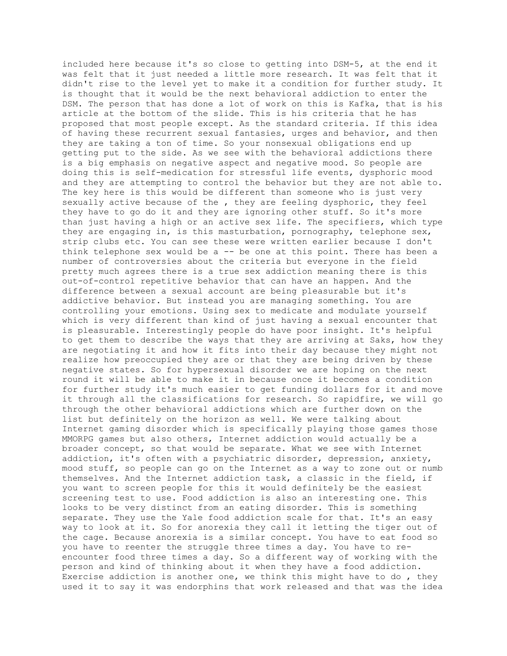included here because it's so close to getting into DSM-5, at the end it was felt that it just needed a little more research. It was felt that it didn't rise to the level yet to make it a condition for further study. It is thought that it would be the next behavioral addiction to enter the DSM. The person that has done a lot of work on this is Kafka, that is his article at the bottom of the slide. This is his criteria that he has proposed that most people except. As the standard criteria. If this idea of having these recurrent sexual fantasies, urges and behavior, and then they are taking a ton of time. So your nonsexual obligations end up getting put to the side. As we see with the behavioral addictions there is a big emphasis on negative aspect and negative mood. So people are doing this is self-medication for stressful life events, dysphoric mood and they are attempting to control the behavior but they are not able to. The key here is this would be different than someone who is just very sexually active because of the , they are feeling dysphoric, they feel they have to go do it and they are ignoring other stuff. So it's more than just having a high or an active sex life. The specifiers, which type they are engaging in, is this masturbation, pornography, telephone sex, strip clubs etc. You can see these were written earlier because I don't think telephone sex would be  $a - -$  be one at this point. There has been a number of controversies about the criteria but everyone in the field pretty much agrees there is a true sex addiction meaning there is this out-of-control repetitive behavior that can have an happen. And the difference between a sexual account are being pleasurable but it's addictive behavior. But instead you are managing something. You are controlling your emotions. Using sex to medicate and modulate yourself which is very different than kind of just having a sexual encounter that is pleasurable. Interestingly people do have poor insight. It's helpful to get them to describe the ways that they are arriving at Saks, how they are negotiating it and how it fits into their day because they might not realize how preoccupied they are or that they are being driven by these negative states. So for hypersexual disorder we are hoping on the next round it will be able to make it in because once it becomes a condition for further study it's much easier to get funding dollars for it and move it through all the classifications for research. So rapidfire, we will go through the other behavioral addictions which are further down on the list but definitely on the horizon as well. We were talking about Internet gaming disorder which is specifically playing those games those MMORPG games but also others, Internet addiction would actually be a broader concept, so that would be separate. What we see with Internet addiction, it's often with a psychiatric disorder, depression, anxiety, mood stuff, so people can go on the Internet as a way to zone out or numb themselves. And the Internet addiction task, a classic in the field, if you want to screen people for this it would definitely be the easiest screening test to use. Food addiction is also an interesting one. This looks to be very distinct from an eating disorder. This is something separate. They use the Yale food addiction scale for that. It's an easy way to look at it. So for anorexia they call it letting the tiger out of the cage. Because anorexia is a similar concept. You have to eat food so you have to reenter the struggle three times a day. You have to reencounter food three times a day. So a different way of working with the person and kind of thinking about it when they have a food addiction. Exercise addiction is another one, we think this might have to do , they used it to say it was endorphins that work released and that was the idea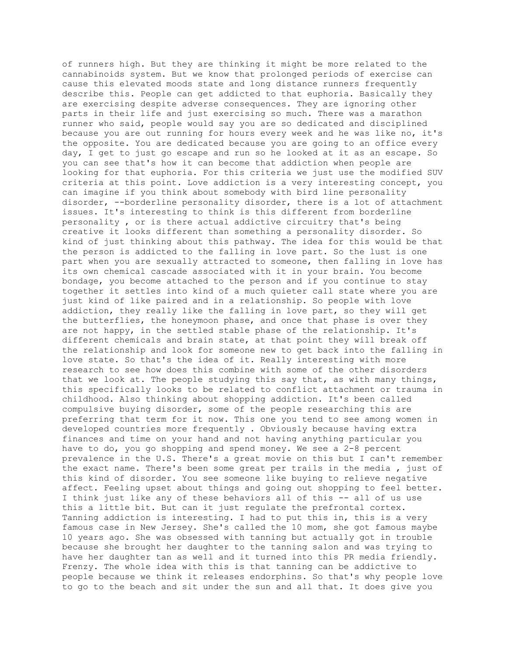of runners high. But they are thinking it might be more related to the cannabinoids system. But we know that prolonged periods of exercise can cause this elevated moods state and long distance runners frequently describe this. People can get addicted to that euphoria. Basically they are exercising despite adverse consequences. They are ignoring other parts in their life and just exercising so much. There was a marathon runner who said, people would say you are so dedicated and disciplined because you are out running for hours every week and he was like no, it's the opposite. You are dedicated because you are going to an office every day, I get to just go escape and run so he looked at it as an escape. So you can see that's how it can become that addiction when people are looking for that euphoria. For this criteria we just use the modified SUV criteria at this point. Love addiction is a very interesting concept, you can imagine if you think about somebody with bird line personality disorder, --borderline personality disorder, there is a lot of attachment issues. It's interesting to think is this different from borderline personality , or is there actual addictive circuitry that's being creative it looks different than something a personality disorder. So kind of just thinking about this pathway. The idea for this would be that the person is addicted to the falling in love part. So the lust is one part when you are sexually attracted to someone, then falling in love has its own chemical cascade associated with it in your brain. You become bondage, you become attached to the person and if you continue to stay together it settles into kind of a much quieter call state where you are just kind of like paired and in a relationship. So people with love addiction, they really like the falling in love part, so they will get the butterflies, the honeymoon phase, and once that phase is over they are not happy, in the settled stable phase of the relationship. It's different chemicals and brain state, at that point they will break off the relationship and look for someone new to get back into the falling in love state. So that's the idea of it. Really interesting with more research to see how does this combine with some of the other disorders that we look at. The people studying this say that, as with many things, this specifically looks to be related to conflict attachment or trauma in childhood. Also thinking about shopping addiction. It's been called compulsive buying disorder, some of the people researching this are preferring that term for it now. This one you tend to see among women in developed countries more frequently . Obviously because having extra finances and time on your hand and not having anything particular you have to do, you go shopping and spend money. We see a 2-8 percent prevalence in the U.S. There's a great movie on this but I can't remember the exact name. There's been some great per trails in the media , just of this kind of disorder. You see someone like buying to relieve negative affect. Feeling upset about things and going out shopping to feel better. I think just like any of these behaviors all of this -- all of us use this a little bit. But can it just regulate the prefrontal cortex. Tanning addiction is interesting. I had to put this in, this is a very famous case in New Jersey. She's called the 10 mom, she got famous maybe 10 years ago. She was obsessed with tanning but actually got in trouble because she brought her daughter to the tanning salon and was trying to have her daughter tan as well and it turned into this PR media friendly. Frenzy. The whole idea with this is that tanning can be addictive to people because we think it releases endorphins. So that's why people love to go to the beach and sit under the sun and all that. It does give you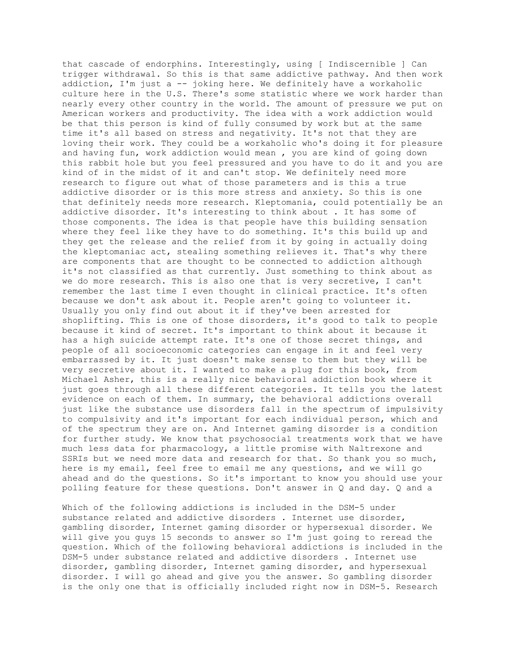that cascade of endorphins. Interestingly, using [ Indiscernible ] Can trigger withdrawal. So this is that same addictive pathway. And then work addiction, I'm just a -- joking here. We definitely have a workaholic culture here in the U.S. There's some statistic where we work harder than nearly every other country in the world. The amount of pressure we put on American workers and productivity. The idea with a work addiction would be that this person is kind of fully consumed by work but at the same time it's all based on stress and negativity. It's not that they are loving their work. They could be a workaholic who's doing it for pleasure and having fun, work addiction would mean , you are kind of going down this rabbit hole but you feel pressured and you have to do it and you are kind of in the midst of it and can't stop. We definitely need more research to figure out what of those parameters and is this a true addictive disorder or is this more stress and anxiety. So this is one that definitely needs more research. Kleptomania, could potentially be an addictive disorder. It's interesting to think about . It has some of those components. The idea is that people have this building sensation where they feel like they have to do something. It's this build up and they get the release and the relief from it by going in actually doing the kleptomaniac act, stealing something relieves it. That's why there are components that are thought to be connected to addiction although it's not classified as that currently. Just something to think about as we do more research. This is also one that is very secretive, I can't remember the last time I even thought in clinical practice. It's often because we don't ask about it. People aren't going to volunteer it. Usually you only find out about it if they've been arrested for shoplifting. This is one of those disorders, it's good to talk to people because it kind of secret. It's important to think about it because it has a high suicide attempt rate. It's one of those secret things, and people of all socioeconomic categories can engage in it and feel very embarrassed by it. It just doesn't make sense to them but they will be very secretive about it. I wanted to make a plug for this book, from Michael Asher, this is a really nice behavioral addiction book where it just goes through all these different categories. It tells you the latest evidence on each of them. In summary, the behavioral addictions overall just like the substance use disorders fall in the spectrum of impulsivity to compulsivity and it's important for each individual person, which and of the spectrum they are on. And Internet gaming disorder is a condition for further study. We know that psychosocial treatments work that we have much less data for pharmacology, a little promise with Naltrexone and SSRIs but we need more data and research for that. So thank you so much, here is my email, feel free to email me any questions, and we will go ahead and do the questions. So it's important to know you should use your polling feature for these questions. Don't answer in Q and day. Q and a

Which of the following addictions is included in the DSM-5 under substance related and addictive disorders . Internet use disorder, gambling disorder, Internet gaming disorder or hypersexual disorder. We will give you guys 15 seconds to answer so I'm just going to reread the question. Which of the following behavioral addictions is included in the DSM-5 under substance related and addictive disorders . Internet use disorder, gambling disorder, Internet gaming disorder, and hypersexual disorder. I will go ahead and give you the answer. So gambling disorder is the only one that is officially included right now in DSM-5. Research